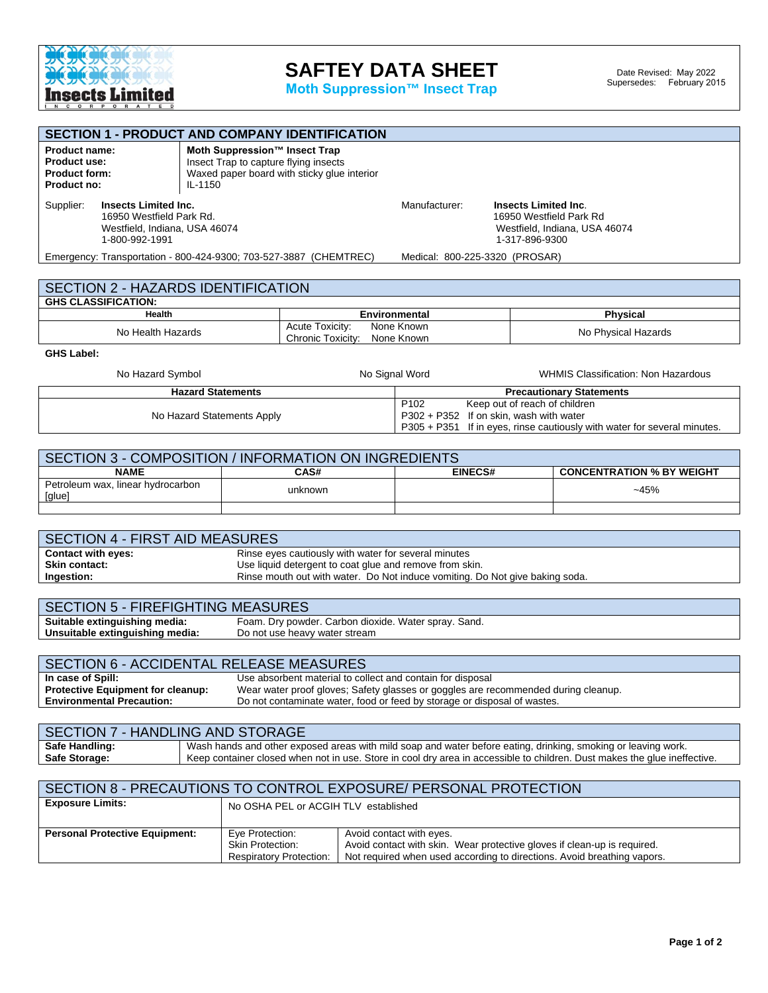

## **SAFTEY DATA SHEET**

**Moth Suppression™ Insect Trap**

| <b>SECTION 1 - PRODUCT AND COMPANY IDENTIFICATION</b>                                                                                                                                                                  |  |                                                                                                                            |                                |  |  |  |
|------------------------------------------------------------------------------------------------------------------------------------------------------------------------------------------------------------------------|--|----------------------------------------------------------------------------------------------------------------------------|--------------------------------|--|--|--|
| Moth Suppression™ Insect Trap<br><b>Product name:</b><br>Insect Trap to capture flying insects<br><b>Product use:</b><br>Waxed paper board with sticky glue interior<br><b>Product form:</b><br>Product no:<br>IL-1150 |  |                                                                                                                            |                                |  |  |  |
| Supplier:<br><b>Insects Limited Inc.</b><br>16950 Westfield Park Rd.<br>Westfield, Indiana, USA 46074<br>1-800-992-1991                                                                                                |  | Manufacturer:<br><b>Insects Limited Inc.</b><br>16950 Westfield Park Rd<br>Westfield, Indiana, USA 46074<br>1-317-896-9300 |                                |  |  |  |
| Emergency: Transportation - 800-424-9300; 703-527-3887 (CHEMTREC)                                                                                                                                                      |  |                                                                                                                            | Medical: 800-225-3320 (PROSAR) |  |  |  |
|                                                                                                                                                                                                                        |  |                                                                                                                            |                                |  |  |  |
| <b>SECTION 2 - HAZARDS IDENTIFICATION</b>                                                                                                                                                                              |  |                                                                                                                            |                                |  |  |  |
| <b>GHS CLASSIFICATION:</b>                                                                                                                                                                                             |  |                                                                                                                            |                                |  |  |  |
| Health                                                                                                                                                                                                                 |  | <b>Environmental</b>                                                                                                       | <b>Physical</b>                |  |  |  |
| Acute Toxicity:<br>No Health Hazards<br>Chronic Toxicity:                                                                                                                                                              |  | None Known<br>None Known                                                                                                   | No Physical Hazards            |  |  |  |

**GHS Label:** 

| No Hazard Symbol           | No Signal Word   | <b>WHMIS Classification: Non Hazardous</b>                               |  |
|----------------------------|------------------|--------------------------------------------------------------------------|--|
| <b>Hazard Statements</b>   |                  | <b>Precautionary Statements</b>                                          |  |
|                            | P <sub>102</sub> | Keep out of reach of children                                            |  |
| No Hazard Statements Apply |                  | $P302 + P352$ If on skin, wash with water                                |  |
|                            |                  | P305 + P351 If in eyes, rinse cautiously with water for several minutes. |  |

| SECTION 3 - COMPOSITION / INFORMATION ON INGREDIENTS |                                                            |  |        |  |  |  |
|------------------------------------------------------|------------------------------------------------------------|--|--------|--|--|--|
| <b>NAME</b>                                          | CAS#<br><b>EINECS#</b><br><b>CONCENTRATION % BY WEIGHT</b> |  |        |  |  |  |
| Petroleum wax, linear hydrocarbon<br>[glue]          | unknown                                                    |  | $-45%$ |  |  |  |
|                                                      |                                                            |  |        |  |  |  |

| <b>SECTION 4 - FIRST AID MEASURES</b> |                                                                              |  |  |
|---------------------------------------|------------------------------------------------------------------------------|--|--|
| <b>Contact with eyes:</b>             | Rinse eyes cautiously with water for several minutes                         |  |  |
| <b>Skin contact:</b>                  | Use liquid detergent to coat glue and remove from skin.                      |  |  |
| Ingestion:                            | Rinse mouth out with water. Do Not induce vomiting. Do Not give baking soda. |  |  |
|                                       |                                                                              |  |  |

| <b>SECTION 5 - FIREFIGHTING MEASURES</b> |                                                      |  |  |
|------------------------------------------|------------------------------------------------------|--|--|
| Suitable extinguishing media:            | Foam. Dry powder. Carbon dioxide. Water spray. Sand. |  |  |
| Unsuitable extinguishing media:          | Do not use heavy water stream                        |  |  |
|                                          |                                                      |  |  |

| <b>SECTION 6 - ACCIDENTAL RELEASE MEASURES</b> |                                                                                    |  |  |  |
|------------------------------------------------|------------------------------------------------------------------------------------|--|--|--|
| In case of Spill:                              | Use absorbent material to collect and contain for disposal                         |  |  |  |
| <b>Protective Equipment for cleanup:</b>       | Wear water proof gloves; Safety glasses or goggles are recommended during cleanup. |  |  |  |
| <b>Environmental Precaution:</b>               | Do not contaminate water, food or feed by storage or disposal of wastes.           |  |  |  |
|                                                |                                                                                    |  |  |  |

| SECTION 7 - HANDLING AND STORAGE |                                                                                                                           |  |  |
|----------------------------------|---------------------------------------------------------------------------------------------------------------------------|--|--|
| <b>Safe Handling:</b>            | Wash hands and other exposed areas with mild soap and water before eating, drinking, smoking or leaving work.             |  |  |
| Safe Storage:                    | Keep container closed when not in use. Store in cool dry area in accessible to children. Dust makes the glue ineffective. |  |  |
|                                  |                                                                                                                           |  |  |

| SECTION 8 - PRECAUTIONS TO CONTROL EXPOSURE/ PERSONAL PROTECTION                                          |                                                                                                     |  |  |
|-----------------------------------------------------------------------------------------------------------|-----------------------------------------------------------------------------------------------------|--|--|
| <b>Exposure Limits:</b>                                                                                   | No OSHA PEL or ACGIH TLV established                                                                |  |  |
|                                                                                                           |                                                                                                     |  |  |
| <b>Personal Protective Equipment:</b>                                                                     | Eye Protection:<br>Avoid contact with eyes.                                                         |  |  |
|                                                                                                           | Avoid contact with skin. Wear protective gloves if clean-up is required.<br><b>Skin Protection:</b> |  |  |
| Not required when used according to directions. Avoid breathing vapors.<br><b>Respiratory Protection:</b> |                                                                                                     |  |  |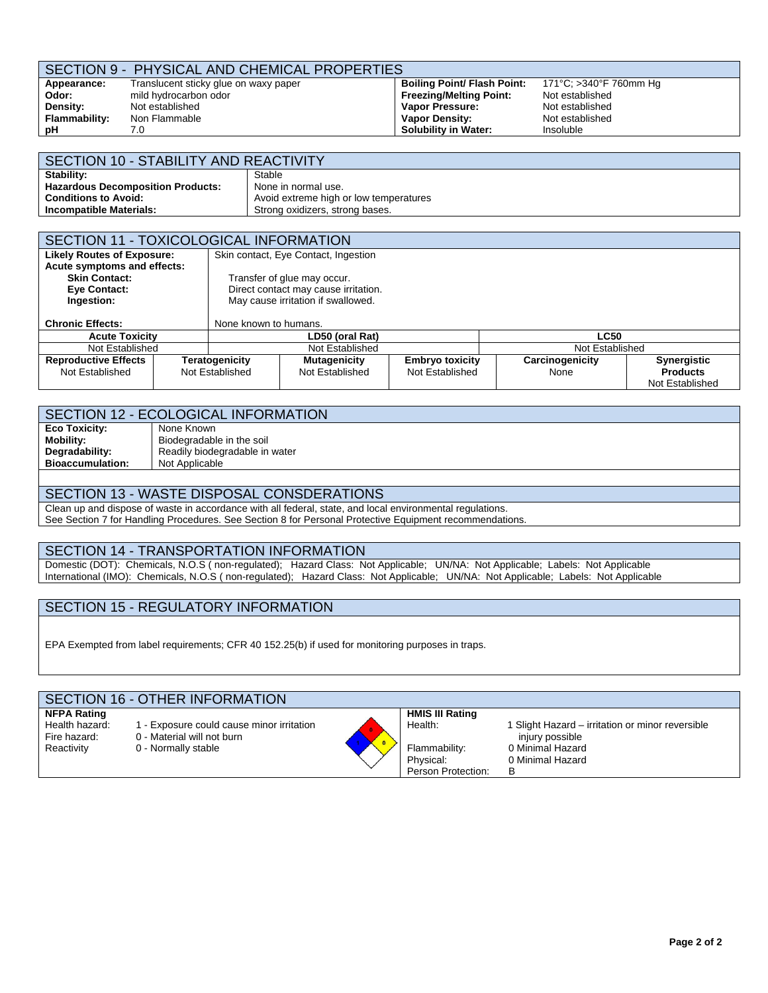## SECTION 9 - PHYSICAL AND CHEMICAL PROPERTIES

**Appearance: Odor: Density: Flammability: pH** 

Translucent sticky glue on waxy paper mild hydrocarbon odor Not established Non Flammable 7.0

**Boiling Point/ Flash Point: Freezing/Melting Point: Vapor Pressure: Vapor Density: Solubility in Water:**

171°C; >340°F 760mm Hg Not established Not established Not established Insoluble

| SECTION 10 - STABILITY AND REACTIVITY                                 |                                 |  |  |  |
|-----------------------------------------------------------------------|---------------------------------|--|--|--|
| Stability:                                                            | Stable                          |  |  |  |
| <b>Hazardous Decomposition Products:</b><br>None in normal use.       |                                 |  |  |  |
| Avoid extreme high or low temperatures<br><b>Conditions to Avoid:</b> |                                 |  |  |  |
| Incompatible Materials:                                               | Strong oxidizers, strong bases. |  |  |  |

| SECTION 11 - TOXICOLOGICAL INFORMATION |                                    |                                    |                                      |                        |                 |                    |
|----------------------------------------|------------------------------------|------------------------------------|--------------------------------------|------------------------|-----------------|--------------------|
| <b>Likely Routes of Exposure:</b>      |                                    |                                    | Skin contact, Eye Contact, Ingestion |                        |                 |                    |
| Acute symptoms and effects:            |                                    |                                    |                                      |                        |                 |                    |
| <b>Skin Contact:</b>                   |                                    |                                    | Transfer of glue may occur.          |                        |                 |                    |
| Eye Contact:                           |                                    |                                    | Direct contact may cause irritation. |                        |                 |                    |
| Ingestion:                             |                                    |                                    | May cause irritation if swallowed.   |                        |                 |                    |
| <b>Chronic Effects:</b>                |                                    | None known to humans.              |                                      |                        |                 |                    |
| <b>Acute Toxicity</b>                  |                                    | LD50 (oral Rat)                    |                                      |                        | <b>LC50</b>     |                    |
|                                        | Not Established<br>Not Established |                                    |                                      | Not Established        |                 |                    |
| <b>Reproductive Effects</b>            |                                    | Teratogenicity                     | <b>Mutagenicity</b>                  | <b>Embryo toxicity</b> | Carcinogenicity | <b>Synergistic</b> |
| Not Established                        |                                    | Not Established<br>Not Established |                                      | Not Established        | None            | <b>Products</b>    |
|                                        |                                    |                                    |                                      |                        |                 | Not Established    |

#### SECTION 12 - ECOLOGICAL INFORMATION **Eco Toxicity: Mobility: Degradability: Bioaccumulation:** None Known Biodegradable in the soil Readily biodegradable in water Not Applicable

## SECTION 13 - WASTE DISPOSAL CONSDERATIONS

Clean up and dispose of waste in accordance with all federal, state, and local environmental regulations. See Section 7 for Handling Procedures. See Section 8 for Personal Protective Equipment recommendations.

## SECTION 14 - TRANSPORTATION INFORMATION

Domestic (DOT): Chemicals, N.O.S ( non-regulated); Hazard Class: Not Applicable; UN/NA: Not Applicable; Labels: Not Applicable International (IMO): Chemicals, N.O.S ( non-regulated); Hazard Class: Not Applicable; UN/NA: Not Applicable; Labels: Not Applicable

## SECTION 15 - REGULATORY INFORMATION

EPA Exempted from label requirements; CFR 40 152.25(b) if used for monitoring purposes in traps.

| SECTION 16 - OTHER INFORMATION                                     |                                                                                              |                                                                                       |                                                                                                                  |  |  |  |
|--------------------------------------------------------------------|----------------------------------------------------------------------------------------------|---------------------------------------------------------------------------------------|------------------------------------------------------------------------------------------------------------------|--|--|--|
| <b>NFPA Rating</b><br>Health hazard:<br>Fire hazard:<br>Reactivity | - Exposure could cause minor irritation<br>0 - Material will not burn<br>0 - Normally stable | <b>HMIS III Rating</b><br>Health:<br>Flammability:<br>Physical:<br>Person Protection: | 1 Slight Hazard – irritation or minor reversible<br>injury possible<br>0 Minimal Hazard<br>0 Minimal Hazard<br>в |  |  |  |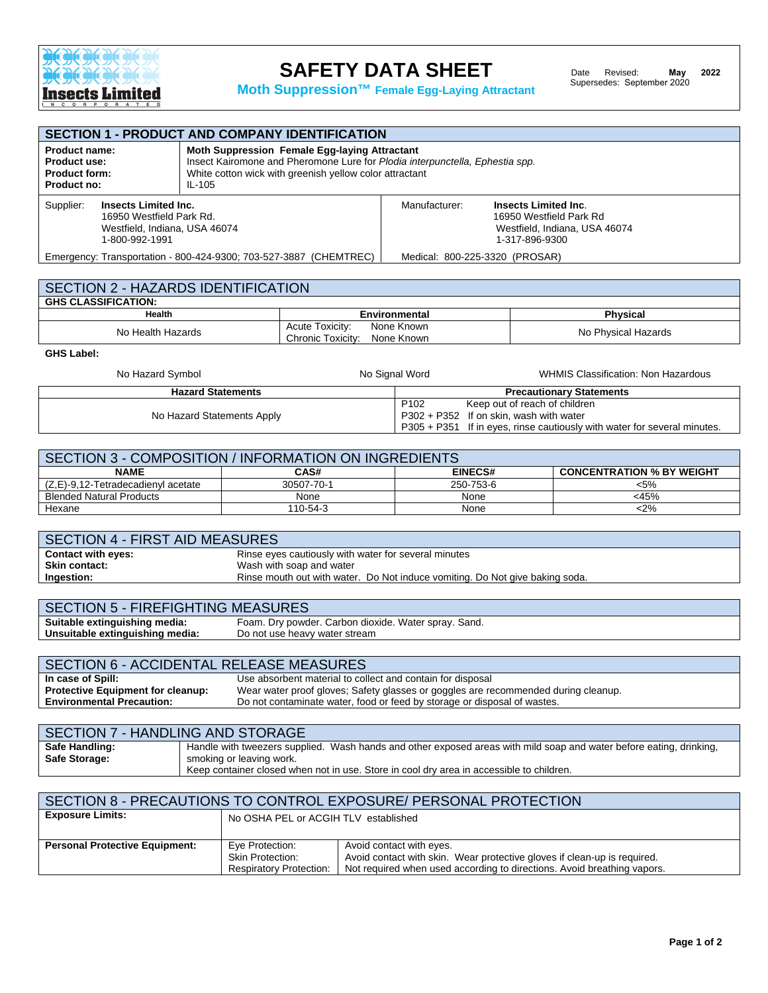

# **SAFETY DATA SHEET**

**Moth Suppression™ Female Egg-Laying Attractant**

| <b>SECTION 1 - PRODUCT AND COMPANY IDENTIFICATION</b>                                                                                                                                                                                                                             |  |               |                                                                                                    |  |
|-----------------------------------------------------------------------------------------------------------------------------------------------------------------------------------------------------------------------------------------------------------------------------------|--|---------------|----------------------------------------------------------------------------------------------------|--|
| Moth Suppression Female Egg-laying Attractant<br><b>Product name:</b><br>Insect Kairomone and Pheromone Lure for Plodia interpunctella, Ephestia spp.<br>Product use:<br>White cotton wick with greenish yellow color attractant<br><b>Product form:</b><br>Product no:<br>IL-105 |  |               |                                                                                                    |  |
| Supplier:<br><b>Insects Limited Inc.</b><br>16950 Westfield Park Rd.<br>Westfield, Indiana, USA 46074<br>1-800-992-1991                                                                                                                                                           |  | Manufacturer: | Insects Limited Inc.<br>16950 Westfield Park Rd<br>Westfield, Indiana, USA 46074<br>1-317-896-9300 |  |
| Emergency: Transportation - 800-424-9300; 703-527-3887 (CHEMTREC)<br>Medical: 800-225-3320 (PROSAR)                                                                                                                                                                               |  |               |                                                                                                    |  |

| SECTION 2 - HAZARDS IDENTIFICATION |                                                               |                     |  |  |
|------------------------------------|---------------------------------------------------------------|---------------------|--|--|
| <b>GHS CLASSIFICATION:</b>         |                                                               |                     |  |  |
| <b>Health</b>                      | Environmental                                                 | <b>Physical</b>     |  |  |
| No Health Hazards                  | Acute Toxicity:<br>None Known<br>Chronic Toxicity: None Known | No Physical Hazards |  |  |

**GHS Label:** 

| No Hazard Symbol           | No Signal Word   | WHMIS Classification: Non Hazardous                                      |
|----------------------------|------------------|--------------------------------------------------------------------------|
| <b>Hazard Statements</b>   |                  | <b>Precautionary Statements</b>                                          |
|                            | P <sub>102</sub> | Keep out of reach of children                                            |
| No Hazard Statements Apply |                  | P302 + P352 If on skin, wash with water                                  |
|                            |                  | P305 + P351 If in eyes, rinse cautiously with water for several minutes. |

| SECTION 3 - COMPOSITION / INFORMATION ON INGREDIENTS               |            |           |         |  |  |  |
|--------------------------------------------------------------------|------------|-----------|---------|--|--|--|
| EINECS#<br><b>NAME</b><br><b>CONCENTRATION % BY WEIGHT</b><br>CAS# |            |           |         |  |  |  |
| (Z,E)-9,12-Tetradecadienyl acetate                                 | 30507-70-1 | 250-753-6 | $< 5\%$ |  |  |  |
| <b>Blended Natural Products</b>                                    | None       | None      | <45%    |  |  |  |
| Hexane                                                             | 110-54-3   | None      | $<$ 2%  |  |  |  |

| SECTION 4 - FIRST AID MEASURES |                                                                              |  |
|--------------------------------|------------------------------------------------------------------------------|--|
| <b>Contact with eyes:</b>      | Rinse eyes cautiously with water for several minutes                         |  |
| <b>Skin contact:</b>           | Wash with soap and water                                                     |  |
| Ingestion:                     | Rinse mouth out with water. Do Not induce vomiting. Do Not give baking soda. |  |
|                                |                                                                              |  |

| <b>SECTION 5 - FIREFIGHTING MEASURES</b>                                                                                                                  |  |  |
|-----------------------------------------------------------------------------------------------------------------------------------------------------------|--|--|
| Suitable extinguishing media:<br>Foam. Dry powder. Carbon dioxide. Water spray. Sand.<br>Unsuitable extinguishing media:<br>Do not use heavy water stream |  |  |

| <b>SECTION 6 - ACCIDENTAL RELEASE MEASURES</b> |                                                                                    |  |  |
|------------------------------------------------|------------------------------------------------------------------------------------|--|--|
| In case of Spill:                              | Use absorbent material to collect and contain for disposal                         |  |  |
| <b>Protective Equipment for cleanup:</b>       | Wear water proof gloves; Safety glasses or goggles are recommended during cleanup. |  |  |
| <b>Environmental Precaution:</b>               | Do not contaminate water, food or feed by storage or disposal of wastes.           |  |  |
|                                                |                                                                                    |  |  |

| SECTION 7 - HANDLING AND STORAGE |                                                                                                                     |  |  |  |
|----------------------------------|---------------------------------------------------------------------------------------------------------------------|--|--|--|
| Safe Handling:                   | Handle with tweezers supplied. Wash hands and other exposed areas with mild soap and water before eating, drinking, |  |  |  |
| <b>Safe Storage:</b>             | smoking or leaving work.                                                                                            |  |  |  |
|                                  | Keep container closed when not in use. Store in cool dry area in accessible to children.                            |  |  |  |

| SECTION 8 - PRECAUTIONS TO CONTROL EXPOSURE/ PERSONAL PROTECTION |                                                                              |                                                                                                                                                                                 |  |  |
|------------------------------------------------------------------|------------------------------------------------------------------------------|---------------------------------------------------------------------------------------------------------------------------------------------------------------------------------|--|--|
| <b>Exposure Limits:</b>                                          | No OSHA PEL or ACGIH TLV established                                         |                                                                                                                                                                                 |  |  |
| <b>Personal Protective Equipment:</b>                            | Eye Protection:<br><b>Skin Protection:</b><br><b>Respiratory Protection:</b> | Avoid contact with eyes.<br>Avoid contact with skin. Wear protective gloves if clean-up is required.<br>Not required when used according to directions. Avoid breathing vapors. |  |  |